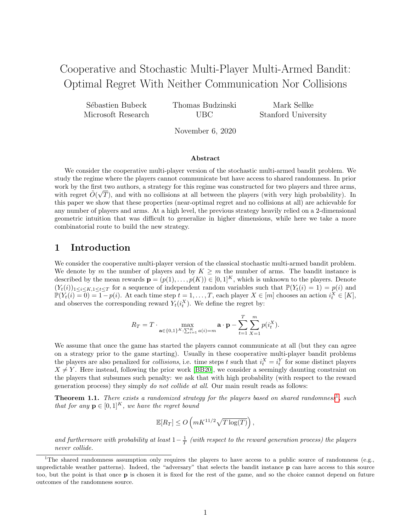# Cooperative and Stochastic Multi-Player Multi-Armed Bandit: Optimal Regret With Neither Communication Nor Collisions

Sébastien Bubeck Microsoft Research Thomas Budzinski UBC

Mark Sellke Stanford University

November 6, 2020

#### Abstract

We consider the cooperative multi-player version of the stochastic multi-armed bandit problem. We study the regime where the players cannot communicate but have access to shared randomness. In prior work by the first two authors, a strategy for this regime was constructed for two players and three arms, with regret  $\tilde{O}(\sqrt{T})$ , and with no collisions at all between the players (with very high probability). In this paper we show that these properties (near-optimal regret and no collisions at all) are achievable for any number of players and arms. At a high level, the previous strategy heavily relied on a 2-dimensional geometric intuition that was difficult to generalize in higher dimensions, while here we take a more combinatorial route to build the new strategy.

## 1 Introduction

We consider the cooperative multi-player version of the classical stochastic multi-armed bandit problem. We denote by m the number of players and by  $K \geq m$  the number of arms. The bandit instance is described by the mean rewards  $\mathbf{p} = (p(1), \ldots, p(K)) \in [0,1]^K$ , which is unknown to the players. Denote  $(Y_t(i))_{1\leq i\leq K,1\leq t\leq T}$  for a sequence of independent random variables such that  $\mathbb{P}(Y_t(i) = 1) = p(i)$  and  $\mathbb{P}(Y_t(i) = 0) = 1 - p(i)$ . At each time step  $t = 1, \ldots, T$ , each player  $X \in [m]$  chooses an action  $i_t^X \in [K]$ , and observes the corresponding reward  $Y_t(i_t^X)$ . We define the regret by:

$$
R_T = T \cdot \max_{\mathbf{a} \in \{0,1\}^K: \sum_{i=1}^K a(i) = m} \mathbf{a} \cdot \mathbf{p} - \sum_{t=1}^T \sum_{X=1}^m p(i_t^X).
$$

We assume that once the game has started the players cannot communicate at all (but they can agree on a strategy prior to the game starting). Usually in these cooperative multi-player bandit problems the players are also penalized for *collisions*, i.e. time steps t such that  $i_t^X = i_t^Y$  for some distinct players  $X \neq Y$ . Here instead, following the prior work [\[BB20\]](#page-13-0), we consider a seemingly daunting constraint on the players that subsumes such penalty: we ask that with high probability (with respect to the reward generation process) they simply *do not collide at all.* Our main result reads as follows:

<span id="page-0-1"></span>**Theorem [1](#page-0-0).1.** There exists a randomized strategy for the players based on shared randomness<sup>1</sup>, such that for any  $\mathbf{p} \in [0,1]^K$ , we have the regret bound

$$
\mathbb{E}[R_T] \le O\left(mK^{11/2}\sqrt{T\log(T)}\right),\,
$$

and furthermore with probability at least  $1-\frac{1}{T}$  (with respect to the reward generation process) the players never collide.

<span id="page-0-0"></span><sup>&</sup>lt;sup>1</sup>The shared randomness assumption only requires the players to have access to a public source of randomness (e.g., unpredictable weather patterns). Indeed, the "adversary" that selects the bandit instance  $\bf{p}$  can have access to this source too, but the point is that once p is chosen it is fixed for the rest of the game, and so the choice cannot depend on future outcomes of the randomness source.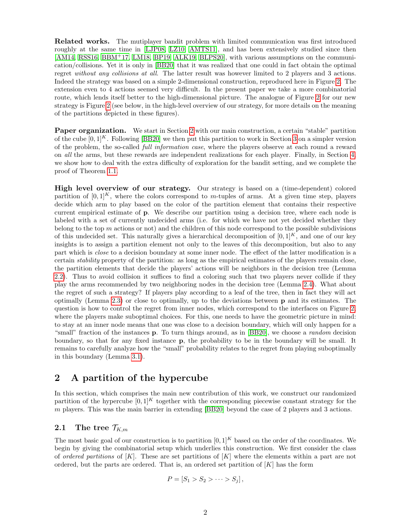Related works. The mutiplayer bandit problem with limited communication was first introduced roughly at the same time in [\[LJP08,](#page-14-0) [LZ10,](#page-14-1) [AMTS11\]](#page-13-1), and has been extensively studied since then [\[AM14,](#page-13-2) [RSS16,](#page-14-2) [BBM](#page-13-3)+17, [LM18,](#page-14-3) [BP19,](#page-13-4) [ALK19,](#page-13-5) [BLPS20\]](#page-13-6), with various assumptions on the communication/collisions. Yet it is only in [\[BB20\]](#page-13-0) that it was realized that one could in fact obtain the optimal regret without any collisions at all. The latter result was however limited to 2 players and 3 actions. Indeed the strategy was based on a simple 2-dimensional construction, reproduced here in Figure [2.](#page-2-0) The extension even to 4 actions seemed very difficult. In the present paper we take a more combinatorial route, which lends itself better to the high-dimensional picture. The analogue of Figure [2](#page-2-0) for our new strategy is Figure [2](#page-2-0) (see below, in the high-level overview of our strategy, for more details on the meaning of the partitions depicted in these figures).

Paper organization. We start in Section [2](#page-1-0) with our main construction, a certain "stable" partition of the cube  $[0,1]^K$ . Following [\[BB20\]](#page-13-0) we then put this partition to work in Section [3](#page-8-0) on a simpler version of the problem, the so-called *full information case*, where the players observe at each round a reward on all the arms, but these rewards are independent realizations for each player. Finally, in Section [4,](#page-9-0) we show how to deal with the extra difficulty of exploration for the bandit setting, and we complete the proof of Theorem [1.1.](#page-0-1)

High level overview of our strategy. Our strategy is based on a (time-dependent) colored partition of  $[0, 1]^K$ , where the colors correspond to m-tuples of arms. At a given time step, players decide which arm to play based on the color of the partition element that contains their respective current empirical estimate of p. We describe our partition using a decision tree, where each node is labeled with a set of currently undecided arms (i.e. for which we have not yet decided whether they belong to the top  $m$  actions or not) and the children of this node correspond to the possible subdivisions of this undecided set. This naturally gives a hierarchical decomposition of  $[0, 1]^K$ , and one of our key insights is to assign a partition element not only to the leaves of this decomposition, but also to any part which is *close* to a decision boundary at some inner node. The effect of the latter modification is a certain stability property of the partition: as long as the empirical estimates of the players remain close, the partition elements that decide the players' actions will be neighbors in the decision tree (Lemma [2.2\)](#page-5-0). Thus to avoid collision it suffices to find a coloring such that two players never collide if they play the arms recommended by two neighboring nodes in the decision tree (Lemma [2.4\)](#page-7-0). What about the regret of such a strategy? If players play according to a leaf of the tree, then in fact they will act optimally (Lemma [2.3\)](#page-7-1) or close to optimally, up to the deviations between p and its estimates. The question is how to control the regret from inner nodes, which correspond to the interfaces on Figure [2,](#page-2-0) where the players make suboptimal choices. For this, one needs to have the geometric picture in mind: to stay at an inner node means that one was close to a decision boundary, which will only happen for a "small" fraction of the instances **p**. To turn things around, as in [\[BB20\]](#page-13-0), we choose a *random* decision boundary, so that for any fixed instance p, the probability to be in the boundary will be small. It remains to carefully analyze how the "small" probability relates to the regret from playing suboptimally in this boundary (Lemma [3.1\)](#page-8-1).

## <span id="page-1-0"></span>2 A partition of the hypercube

In this section, which comprises the main new contribution of this work, we construct our randomized partition of the hypercube  $[0, 1]^K$  together with the corresponding piecewise constant strategy for the  $m$  players. This was the main barrier in extending [\[BB20\]](#page-13-0) beyond the case of 2 players and 3 actions.

## <span id="page-1-1"></span>2.1 The tree  $\mathcal{T}_{K,m}$

The most basic goal of our construction is to partition  $[0, 1]^K$  based on the order of the coordinates. We begin by giving the combinatorial setup which underlies this construction. We first consider the class of ordered partitions of  $[K]$ . These are set partitions of  $[K]$  where the elements within a part are not ordered, but the parts are ordered. That is, an ordered set partition of  $[K]$  has the form

$$
P=[S_1>S_2>\cdots>S_j],
$$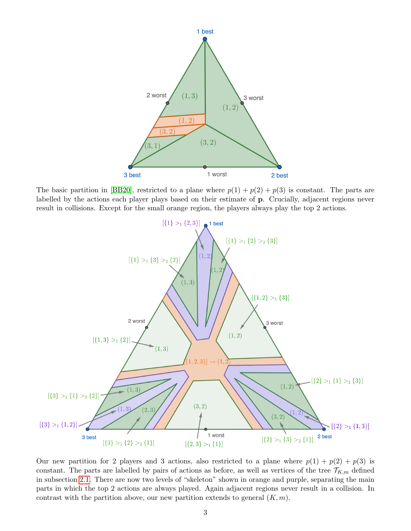<span id="page-2-0"></span>

The basic partition in [\[BB20\]](#page-13-0), restricted to a plane where  $p(1) + p(2) + p(3)$  is constant. The parts are labelled by the actions each player plays based on their estimate of p. Crucially, adjacent regions never result in collisions. Except for the small orange region, the players always play the top 2 actions.



Our new partition for 2 players and 3 actions, also restricted to a plane where  $p(1) + p(2) + p(3)$  is constant. The parts are labelled by pairs of actions as before, as well as vertices of the tree  $\mathcal{T}_{K,m}$  defined in subsection [2.1.](#page-1-1) There are now two levels of "skeleton" shown in orange and purple, separating the main parts in which the top 2 actions are always played. Again adjacent regions never result in a collision. In contrast with the partition above, our new partition extends to general  $(K, m)$ .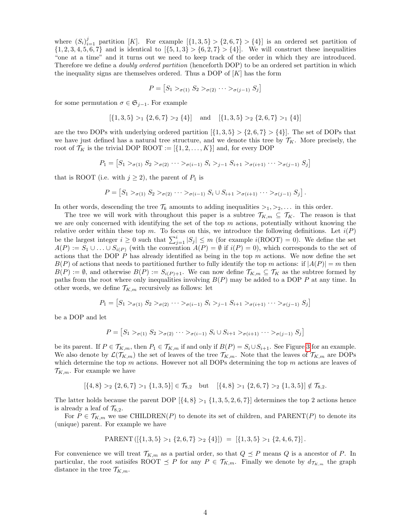where  $(S_i)_{i=1}^j$  partition [K]. For example  $\{1,3,5\} > \{2,6,7\} > \{4\}$ ] is an ordered set partition of  $\{1, 2, 3, 4, 5, 6, 7\}$  and is identical to  $\{5, 1, 3\} > \{6, 2, 7\} > \{4\}$ . We will construct these inequalities "one at a time" and it turns out we need to keep track of the order in which they are introduced. Therefore we define a *doubly ordered partition* (henceforth DOP) to be an ordered set partition in which the inequality signs are themselves ordered. Thus a DOP of  $[K]$  has the form

$$
P = [S_1 >_{\sigma(1)} S_2 >_{\sigma(2)} \cdots >_{\sigma(j-1)} S_j]
$$

for some permutation  $\sigma \in \mathfrak{S}_{j-1}$ . For example

$$
[\{1,3,5\} >_1 \{2,6,7\} >_2 \{4\}] \quad \text{and} \quad [\{1,3,5\} >_2 \{2,6,7\} >_1 \{4\}]
$$

are the two DOPs with underlying ordered partition  $\{1, 3, 5\} > \{2, 6, 7\} > \{4\}$ . The set of DOPs that we have just defined has a natural tree structure, and we denote this tree by  $\mathcal{T}_K$ . More precisely, the root of  $\mathcal{T}_K$  is the trivial DOP ROOT :=  $[\{1, 2, ..., K\}]$  and, for every DOP

$$
P_1 = [S_1 >_{\sigma(1)} S_2 >_{\sigma(2)} \cdots >_{\sigma(i-1)} S_i >_{j-1} S_{i+1} >_{\sigma(i+1)} \cdots >_{\sigma(j-1)} S_j]
$$

that is ROOT (i.e. with  $j \geq 2$ ), the parent of  $P_1$  is

$$
P = [S_1 >_{\sigma(1)} S_2 >_{\sigma(2)} \cdots >_{\sigma(i-1)} S_i \cup S_{i+1} >_{\sigma(i+1)} \cdots >_{\sigma(j-1)} S_j].
$$

In other words, descending the tree  $\mathcal{T}_k$  amounts to adding inequalities  $>_1, >_2, \ldots$  in this order.

The tree we will work with throughout this paper is a subtree  $\mathcal{T}_{K,m} \subseteq \mathcal{T}_K$ . The reason is that we are only concerned with identifying the set of the top  $m$  actions, potentially without knowing the relative order within these top m. To focus on this, we introduce the following definitions. Let  $i(P)$ be the largest integer  $i \geq 0$  such that  $\sum_{j=1}^{i} |S_j| \leq m$  (for example  $i(\text{ROOT}) = 0$ ). We define the set  $A(P) := S_1 \cup \ldots \cup S_{i(P)}$  (with the convention  $A(P) = \emptyset$  if  $i(P) = 0$ ), which corresponds to the set of actions that the DOP  $P$  has already identified as being in the top  $m$  actions. We now define the set  $B(P)$  of actions that needs to partitioned further to fully identify the top m actions: if  $|A(P)| = m$  then  $B(P) := \emptyset$ , and otherwise  $B(P) := S_{i(P)+1}$ . We can now define  $\mathcal{T}_{K,m} \subseteq \mathcal{T}_K$  as the subtree formed by paths from the root where only inequalities involving  $B(P)$  may be added to a DOP P at any time. In other words, we define  $\mathcal{T}_{K,m}$  recursively as follows: let

$$
P_1 = [S_1 >_{\sigma(1)} S_2 >_{\sigma(2)} \cdots >_{\sigma(i-1)} S_i >_{j-1} S_{i+1} >_{\sigma(i+1)} \cdots >_{\sigma(j-1)} S_j]
$$

be a DOP and let

$$
P = [S_1 >_{\sigma(1)} S_2 >_{\sigma(2)} \cdots >_{\sigma(i-1)} S_i \cup S_{i+1} >_{\sigma(i+1)} \cdots >_{\sigma(j-1)} S_j]
$$

be its parent. If  $P \in \mathcal{T}_{K,m}$ , then  $P_1 \in \mathcal{T}_{K,m}$  if and only if  $B(P) = S_i \cup S_{i+1}$ . See Figure [3](#page-4-0) for an example. We also denote by  $\mathcal{L}(\mathcal{T}_{K,m})$  the set of leaves of the tree  $\mathcal{T}_{K,m}$ . Note that the leaves of  $\mathcal{T}_{K,m}$  are DOPs which determine the top  $m$  actions. However not all DOPs determining the top  $m$  actions are leaves of  $\mathcal{T}_{K,m}$ . For example we have

$$
[\{4,8\} >_2 \{2,6,7\} >_1 \{1,3,5\}] \in \mathcal{T}_{8,2} \quad \text{but} \quad [\{4,8\} >_1 \{2,6,7\} >_2 \{1,3,5\}] \notin \mathcal{T}_{8,2}.
$$

The latter holds because the parent DOP  $\{4, 8\} >_1 \{1, 3, 5, 2, 6, 7\}$  determines the top 2 actions hence is already a leaf of  $\mathcal{T}_{8,2}$ .

For  $P \in \mathcal{T}_{K,m}$  we use CHILDREN(P) to denote its set of children, and PARENT(P) to denote its (unique) parent. For example we have

$$
PARENT ([\{1, 3, 5\} >_1 \{2, 6, 7\} >_2 \{4\}]) = [\{1, 3, 5\} >_1 \{2, 4, 6, 7\}].
$$

For convenience we will treat  $\mathcal{T}_{K,m}$  as a partial order, so that  $Q \preceq P$  means Q is a ancestor of P. In particular, the root satisifes ROOT  $\leq P$  for any  $P \in \mathcal{T}_{K,m}$ . Finally we denote by  $d_{\mathcal{T}_{K,m}}$  the graph distance in the tree  $\mathcal{T}_{K,m}$ .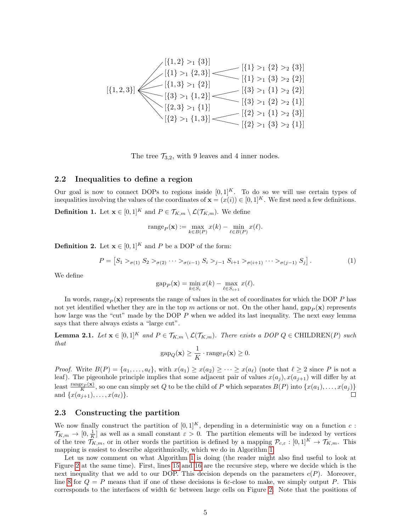<span id="page-4-0"></span>
$$
[\{1,2\} >_1 \{3\}]
$$
\n
$$
[\{1\} >_1 \{2,3\}]
$$
\n
$$
[\{1\} >_1 \{3\} >_2 \{3\}]
$$
\n
$$
[\{1,2,3\}]
$$
\n
$$
[\{1,3\} >_1 \{2\}]
$$
\n
$$
[\{3\} >_1 \{1,2\}]
$$
\n
$$
[\{3\} >_1 \{1\} >_2 \{2\}]
$$
\n
$$
[\{2,3\} >_1 \{1\}]
$$
\n
$$
[\{2\} >_1 \{1,3\}]
$$
\n
$$
[\{2\} >_1 \{3\} >_2 \{1\}]
$$
\n
$$
[\{2\} >_1 \{3\} >_2 \{1\}]
$$
\n
$$
[\{2\} >_1 \{3\} >_2 \{1\}]
$$

The tree  $\mathcal{T}_{3,2}$ , with 9 leaves and 4 inner nodes.

#### 2.2 Inequalities to define a region

Our goal is now to connect DOPs to regions inside  $[0, 1]^K$ . To do so we will use certain types of inequalities involving the values of the coordinates of  $\mathbf{x} = (x(i)) \in [0,1]^K$ . We first need a few definitions.

**Definition 1.** Let  $\mathbf{x} \in [0,1]^K$  and  $P \in \mathcal{T}_{K,m} \setminus \mathcal{L}(\mathcal{T}_{K,m})$ . We define

range<sub>P</sub>(**x**) := 
$$
\max_{k \in B(P)} x(k) - \min_{\ell \in B(P)} x(\ell)
$$
.

**Definition 2.** Let  $\mathbf{x} \in [0, 1]^K$  and P be a DOP of the form:

$$
P = [S_1 >_{\sigma(1)} S_2 >_{\sigma(2)} \cdots >_{\sigma(i-1)} S_i >_{j-1} S_{i+1} >_{\sigma(i+1)} \cdots >_{\sigma(j-1)} S_j].
$$
\n(1)

We define

$$
gap_P(\mathbf{x}) = \min_{k \in S_i} x(k) - \max_{\ell \in S_{i+1}} x(\ell).
$$

In words, range<sub>P</sub> (x) represents the range of values in the set of coordinates for which the DOP P has not yet identified whether they are in the top m actions or not. On the other hand, gap<sub>p</sub>( $\bf{x}$ ) represents how large was the "cut" made by the DOP P when we added its last inequality. The next easy lemma says that there always exists a "large cut".

<span id="page-4-1"></span>**Lemma 2.1.** Let  $\mathbf{x} \in [0,1]^K$  and  $P \in \mathcal{T}_{K,m} \setminus \mathcal{L}(\mathcal{T}_{K,m})$ . There exists a DOP  $Q \in \text{CHILDREN}(P)$  such that

$$
gap_Q(\mathbf{x}) \ge \frac{1}{K} \cdot range_P(\mathbf{x}) \ge 0.
$$

*Proof.* Write  $B(P) = \{a_1, \ldots, a_\ell\}$ , with  $x(a_1) \geq x(a_2) \geq \cdots \geq x(a_\ell)$  (note that  $\ell \geq 2$  since P is not a leaf). The pigeonhole principle implies that some adjacent pair of values  $x(a_j)$ ,  $x(a_{j+1})$  will differ by at least  $\frac{\text{range}_P(\mathbf{x})}{K}$ , so one can simply set Q to be the child of P which separates  $B(P)$  into  $\{x(a_1), \ldots, x(a_j)\}$ and  $\{x(a_{i+1}), \ldots, x(a_{\ell})\}.$  $\Box$ 

### 2.3 Constructing the partition

We now finally construct the partition of  $[0, 1]^K$ , depending in a deterministic way on a function c:  $\mathcal{T}_{K,m} \to [0, \frac{1}{K}]$  as well as a small constant  $\varepsilon > 0$ . The partition elements will be indexed by vertices of the tree  $\mathcal{T}_{K,m}$ , or in other words the partition is defined by a mapping  $\mathcal{P}_{c,\varepsilon} : [0,1]^K \to \mathcal{T}_{K,m}$ . This mapping is easiest to describe algorithmically, which we do in Algorithm [1.](#page-5-1)

Let us now comment on what Algorithm [1](#page-5-1) is doing (the reader might also find useful to look at Figure [2](#page-2-0) at the same time). First, lines [15](#page-5-2) and [16](#page-5-3) are the recursive step, where we decide which is the next inequality that we add to our DOP. This decision depends on the parameters  $c(P)$ . Moreover, line [8](#page-5-4) for  $Q = P$  means that if one of these decisions is 6 $\varepsilon$ -close to make, we simply output P. This corresponds to the interfaces of width  $6\varepsilon$  between large cells on Figure [2.](#page-2-0) Note that the positions of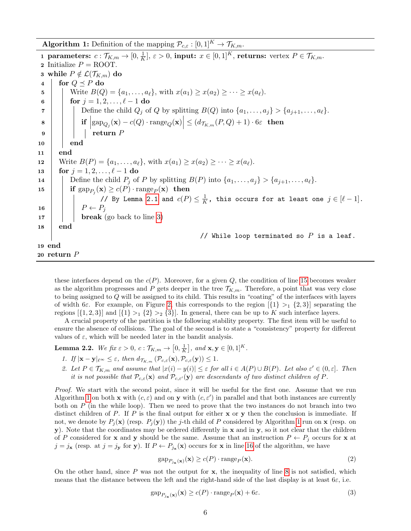<span id="page-5-1"></span>**Algorithm 1:** Definition of the mapping  $\mathcal{P}_{c,\varepsilon} : [0,1]^K \to \mathcal{T}_{K,m}$ .

<span id="page-5-7"></span><span id="page-5-5"></span><span id="page-5-4"></span>1 parameters:  $c: \mathcal{T}_{K,m} \rightarrow [0, \frac{1}{K}]$  $\frac{1}{K}$ ,  $\varepsilon > 0$ , input:  $x \in [0, 1]^K$ , returns: vertex  $P \in \mathcal{T}_{K,m}$ . 2 Initialize  $P = \text{ROOT}$ . 3 while  $P \notin \mathcal{L}(\mathcal{T}_{K,m})$  do 4 for  $Q \prec P$  do 5 Write  $B(Q) = \{a_1, \ldots, a_\ell\}$ , with  $x(a_1) \geq x(a_2) \geq \cdots \geq x(a_\ell)$ . 6 **for**  $j = 1, 2, ..., \ell - 1$  do 7 | | Define the child  $Q_j$  of Q by splitting  $B(Q)$  into  $\{a_1, \ldots, a_j\} > \{a_{j+1}, \ldots, a_\ell\}.$  $\begin{array}{c|c|c} \bf 8 & & \begin{array}{|c|c|c|c|}\end{array} & \textbf{if} & \text{gap}_{Q_j}(\textbf{x})-c(Q)\cdot\text{range}_Q(\textbf{x}) & \leq (d_{\mathcal{T}_{K,m}}(P,Q)+1)\cdot 6\varepsilon & \textbf{then} \end{array} \end{array}$  $9 \mid \cdot \cdot \cdot \cdot \cdot P$  $10$  end 11 end 12 Write  $B(P) = \{a_1, \ldots, a_\ell\}$ , with  $x(a_1) \geq x(a_2) \geq \cdots \geq x(a_\ell)$ . 13 for  $j = 1, 2, ..., \ell - 1$  do 14 | Define the child  $P_j$  of P by splitting  $B(P)$  into  $\{a_1, \ldots, a_j\} > \{a_{j+1}, \ldots, a_\ell\}.$  $\begin{array}{|c|c|c|}\text{15} & \text{if } \text{gap}_{P_j}(\textbf{x}) \geq c(P) \cdot \text{range}_P(\textbf{x}) & \text{then} \end{array}$ // By Lemma [2.1](#page-4-1) and  $c(P) \leq \frac{1}{K}$  $\frac{1}{K}$ , this occurs for at least one  $j \in [\ell - 1]$ . 16 | |  $P \leftarrow P_j$  $17$  | | break (go back to line [3\)](#page-5-5) 18 end // While loop terminated so  $P$  is a leaf. 19 end 20 return P

<span id="page-5-3"></span><span id="page-5-2"></span>these interfaces depend on the  $c(P)$ . Moreover, for a given Q, the condition of line [15](#page-5-2) becomes weaker as the algorithm progresses and P gets deeper in the tree  $\mathcal{T}_{K,m}$ . Therefore, a point that was very close to being assigned to  $Q$  will be assigned to its child. This results in "coating" of the interfaces with layers of width 6ε. For example, on Figure [2,](#page-2-0) this corresponds to the region  $\{\{1\} >_1 \{2,3\}\}\$  separating the regions  $\{\{1, 2, 3\}\}\$ and  $\{\{1\} >_1 \{2\} >_2 \{3\}\$ . In general, there can be up to K such interface layers.

A crucial property of the partition is the following stability property. The first item will be useful to ensure the absence of collisions. The goal of the second is to state a "consistency" property for different values of  $\varepsilon$ , which will be needed later in the bandit analysis.

<span id="page-5-0"></span>**Lemma 2.2.** We fix  $\varepsilon > 0$ ,  $c: \mathcal{T}_{K,m} \to [0, \frac{1}{K}],$  and  $\mathbf{x}, \mathbf{y} \in [0, 1]^K$ .

- 1. If  $|\mathbf{x} \mathbf{y}|_{\ell^{\infty}} \leq \varepsilon$ , then  $d_{\mathcal{T}_{K,m}} (\mathcal{P}_{c,\varepsilon}(\mathbf{x}), \mathcal{P}_{c,\varepsilon}(\mathbf{y})) \leq 1$ .
- 2. Let  $P \in \mathcal{T}_{K,m}$  and assume that  $|x(i) y(i)| \leq \varepsilon$  for all  $i \in A(P) \cup B(P)$ . Let also  $\varepsilon' \in (0, \varepsilon]$ . Then it is not possible that  $\mathcal{P}_{c,\varepsilon}(\mathbf{x})$  and  $\mathcal{P}_{c,\varepsilon}(\mathbf{y})$  are descendants of two distinct children of P.

Proof. We start with the second point, since it will be useful for the first one. Assume that we run Algorithm [1](#page-5-1) on both x with  $(c, \varepsilon)$  and on y with  $(c, \varepsilon')$  in parallel and that both instances are currently both on  $P$  (in the while loop). Then we need to prove that the two instances do not branch into two distinct children of P. If P is the final output for either  $x$  or  $y$  then the conclusion is immediate. If not, we denote by  $P_i(\mathbf{x})$  (resp.  $P_i(\mathbf{y})$ ) the j-th child of P considered by Algorithm [1](#page-5-1) run on **x** (resp. on y). Note that the coordinates may be ordered differently in  $x$  and in  $y$ , so it not clear that the children of P considered for **x** and **y** should be the same. Assume that an instruction  $P \leftarrow P_i$  occurs for **x** at  $j = j_x$  (resp. at  $j = j_y$  for y). If  $P \leftarrow P_{j_x}(\mathbf{x})$  occurs for x in line [16](#page-5-3) of the algorithm, we have

<span id="page-5-6"></span>
$$
gap_{P_{j_{\mathbf{x}}}(\mathbf{x})}(\mathbf{x}) \ge c(P) \cdot range_{P}(\mathbf{x}).
$$
\n(2)

On the other hand, since  $P$  was not the output for  $x$ , the inequality of line  $8$  is not satisfied, which means that the distance between the left and the right-hand side of the last display is at least  $6\varepsilon$ , i.e.

$$
gap_{P_{j_{\mathbf{x}}}(\mathbf{x})}(\mathbf{x}) \ge c(P) \cdot range_P(\mathbf{x}) + 6\varepsilon. \tag{3}
$$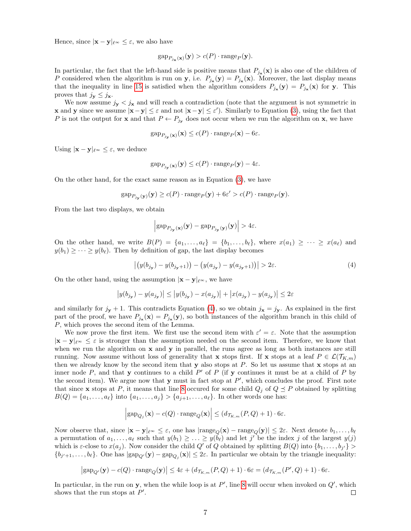Hence, since  $|\mathbf{x} - \mathbf{y}|_{\ell^{\infty}} \leq \varepsilon$ , we also have

$$
gap_{P_{j_{\mathbf{x}}}(\mathbf{x})}(\mathbf{y}) > c(P) \cdot range_P(\mathbf{y}).
$$

In particular, the fact that the left-hand side is positive means that  $P_{j_{\mathbf{x}}}(\mathbf{x})$  is also one of the children of P considered when the algorithm is run on **y**, i.e.  $P_{j_{x}}(\mathbf{y}) = P_{j_{x}}(\mathbf{x})$ . Moreover, the last display means that the inequality in line [15](#page-5-2) is satisfied when the algorithm considers  $P_{j*}(\mathbf{y}) = P_{j*}(\mathbf{x})$  for y. This proves that  $j_{\mathbf{y}} \leq j_{\mathbf{x}}$ .

We now assume  $j_{y} < j_{x}$  and will reach a contradiction (note that the argument is not symmetric in **x** and **y** since we assume  $|\mathbf{x}-\mathbf{y}| \leq \varepsilon$  and not  $|\mathbf{x}-\mathbf{y}| \leq \varepsilon'$ ). Similarly to Equation [\(3\)](#page-5-6), using the fact that P is not the output for **x** and that  $P \leftarrow P_{j_x}$  does not occur when we run the algorithm on **x**, we have

$$
gap_{P_{j_{\mathbf{y}}}(\mathbf{x})}(\mathbf{x}) \le c(P) \cdot \text{range}_P(\mathbf{x}) - 6\varepsilon.
$$

Using  $|\mathbf{x} - \mathbf{y}|_{\ell^{\infty}} \leq \varepsilon$ , we deduce

$$
gap_{P_{j_{\mathbf{y}}}(\mathbf{x})}(\mathbf{y}) \le c(P) \cdot \text{range}_P(\mathbf{y}) - 4\varepsilon.
$$

On the other hand, for the exact same reason as in Equation [\(3\)](#page-5-6), we have

$$
\text{gap}_{P_{j_{\mathbf{y}}}(\mathbf{y})}(\mathbf{y}) \ge c(P) \cdot \text{range}_P(\mathbf{y}) + 6\varepsilon' > c(P) \cdot \text{range}_P(\mathbf{y}).
$$

From the last two displays, we obtain

<span id="page-6-0"></span>
$$
\left| \text{gap}_{P_{j_{\mathbf{y}}}(\mathbf{x})}(\mathbf{y}) - \text{gap}_{P_{j_{\mathbf{y}}}(\mathbf{y})}(\mathbf{y}) \right| > 4\varepsilon.
$$

On the other hand, we write  $B(P) = \{a_1, \ldots, a_\ell\} = \{b_1, \ldots, b_\ell\}$ , where  $x(a_1) \geq \cdots \geq x(a_\ell)$  and  $y(b_1) \geq \cdots \geq y(b_\ell)$ . Then by definition of gap, the last display becomes

$$
\left| \left( y(b_{j_{y}}) - y(b_{j_{y}+1}) \right) - \left( y(a_{j_{y}}) - y(a_{j_{y}+1}) \right) \right| > 2\varepsilon. \tag{4}
$$

On the other hand, using the assumption  $|\mathbf{x} - \mathbf{y}|_{\ell^{\infty}}$ , we have

$$
|y(b_{j_{\mathbf{y}}}) - y(a_{j_{\mathbf{y}}})| \le |y(b_{j_{\mathbf{y}}}) - x(a_{j_{\mathbf{y}}})| + |x(a_{j_{\mathbf{y}}}) - y(a_{j_{\mathbf{y}}})| \le 2\varepsilon
$$

and similarly for  $j_x + 1$ . This contradicts Equation [\(4\)](#page-6-0), so we obtain  $j_x = j_y$ . As explained in the first part of the proof, we have  $P_{j_{\mathbf{x}}}(\mathbf{x}) = P_{j_{\mathbf{x}}}(\mathbf{y})$ , so both instances of the algorithm branch in this child of P, which proves the second item of the Lemma.

We now prove the first item. We first use the second item with  $\varepsilon' = \varepsilon$ . Note that the assumption  $|\mathbf{x} - \mathbf{y}|_{\ell^{\infty}} \leq \varepsilon$  is stronger than the assumption needed on the second item. Therefore, we know that when we run the algorithm on  $x$  and  $y$  in parallel, the runs agree as long as both instances are still running. Now assume without loss of generality that x stops first. If x stops at a leaf  $P \in \mathcal{L}(\mathcal{T}_{K,m})$ then we already know by the second item that  $y$  also stops at P. So let us assume that  $x$  stops at an inner node  $P$ , and that y continues to a child  $P'$  of  $P$  (if y continues it must be at a child of  $P$  by the second item). We argue now that  $y$  must in fact stop at  $P'$ , which concludes the proof. First note that since **x** stops at P, it means that line [8](#page-5-4) occured for some child  $Q_j$  of  $Q \preceq P$  obtained by splitting  $B(Q) = \{a_1, ..., a_\ell\}$  into  $\{a_1, ..., a_j\} > \{a_{j+1}, ..., a_\ell\}$ . In other words one has:

$$
\left|\text{gap}_{Q_j}(\mathbf{x}) - c(Q) \cdot \text{range}_Q(\mathbf{x})\right| \le (d_{\mathcal{T}_{K,m}}(P,Q) + 1) \cdot 6\varepsilon.
$$

Now observe that, since  $|\mathbf{x} - \mathbf{y}|_{\ell^{\infty}} \leq \varepsilon$ , one has  $|\text{range}_Q(\mathbf{x}) - \text{range}_Q(\mathbf{y})| \leq 2\varepsilon$ . Next denote  $b_1, \ldots, b_\ell$ a permutation of  $a_1, \ldots, a_\ell$  such that  $y(b_1) \geq \ldots \geq y(b_\ell)$  and let j' be the index j of the largest  $y(j)$ which is  $\varepsilon$ -close to  $x(a_j)$ . Now consider the child  $Q'$  of  $Q$  obtained by splitting  $B(Q)$  into  $\{b_1, \ldots, b_{j'}\}$  ${b_{j'+1},...,b_{\ell}}$ . One has  $|\text{gap}_{Q'}(\mathbf{y}) - \text{gap}_{Q_j}(\mathbf{x})| \leq 2\varepsilon$ . In particular we obtain by the triangle inequality:

$$
\left|\text{gap}_{Q'}(\mathbf{y}) - c(Q) \cdot \text{range}_Q(\mathbf{y})\right| \leq 4\varepsilon + (d_{\mathcal{T}_{K,m}}(P,Q)+1) \cdot 6\varepsilon = (d_{\mathcal{T}_{K,m}}(P',Q)+1) \cdot 6\varepsilon.
$$

In particular, in the run on y, when the while loop is at  $P'$ , line [8](#page-5-4) will occur when invoked on  $Q'$ , which shows that the run stops at  $P'$ .  $\Box$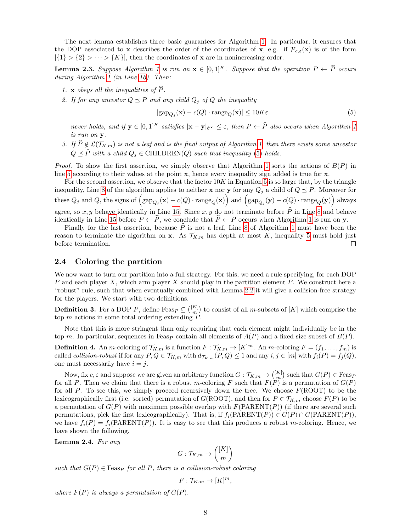The next lemma establishes three basic guarantees for Algorithm [1.](#page-5-1) In particular, it ensures that the DOP associated to x describes the order of the coordinates of x, e.g. if  $\mathcal{P}_{c,\varepsilon}(\mathbf{x})$  is of the form  $[\{1\} > \{2\} > \cdots > \{K\}],$  then the coordinates of **x** are in nonincreasing order.

<span id="page-7-1"></span>**Lemma 2.3.** Suppose Algorithm [1](#page-5-1) is run on  $\mathbf{x} \in [0,1]^K$ . Suppose that the operation  $P \leftarrow \widehat{P}$  occurs during Algorithm [1](#page-5-1) (in Line [16\)](#page-5-3). Then:

- <span id="page-7-5"></span>1. x obeys all the inequalities of  $\widehat{P}$ .
- <span id="page-7-4"></span>2. If for any ancestor  $Q \preceq P$  and any child  $Q_j$  of Q the inequality

<span id="page-7-2"></span>
$$
|\text{gap}_{Q_j}(\mathbf{x}) - c(Q) \cdot \text{range}_Q(\mathbf{x})| \le 10K\varepsilon. \tag{5}
$$

never holds, and if  $y \in [0,1]^K$  satisfies  $|x - y|_{\ell^{\infty}} < \varepsilon$ , then  $P \leftarrow \widehat{P}$  also occurs when Algorithm [1](#page-5-1) is run on y.

<span id="page-7-3"></span>3. If  $\widehat{P} \notin \mathcal{L}(\mathcal{T}_{K,m})$  is not a leaf and is the final output of Algorithm [1,](#page-5-1) then there exists some ancestor  $Q \preceq \hat{P}$  with a child  $Q_j \in \text{CHILDREN}(Q)$  such that inequality [\(5\)](#page-7-2) holds.

*Proof.* To show the first assertion, we simply observe that Algorithm [1](#page-5-1) sorts the actions of  $B(P)$  in line [5](#page-5-7) according to their values at the point x, hence every inequality sign added is true for x.

For the second assertion, we observe that the factor  $10K$  in Equation [5](#page-7-2) is so large that, by the triangle inequality, Line [8](#page-5-4) of the algorithm applies to neither **x** nor **y** for any  $Q_j$  a child of  $Q \preceq P$ . Moreover for these  $Q_j$  and Q, the signs of  $(\text{gap}_{Q_j}(\mathbf{x}) - c(Q) \cdot \text{range}_Q(\mathbf{x}))$  and  $(\text{gap}_{Q_j}(\mathbf{y}) - c(Q) \cdot \text{range}_Q(\mathbf{y}))$  always agree, so x, y behave identically in Line [15.](#page-5-2) Since x, y do not terminate before  $\widehat{P}$  in Line [8](#page-5-4) and behave identically in Line [15](#page-5-2) before  $P \leftarrow \hat{P}$ , we conclude that  $\hat{P} \leftarrow P$  occurs when Algorithm [1](#page-5-1) is run on y.

Finally for the last assertion, because  $\hat{P}$  is not a leaf, Line [8](#page-5-4) of Algorithm [1](#page-5-1) must have been the reason to terminate the algorithm on x. As  $\mathcal{T}_{K,m}$  has depth at most K, inequality [5](#page-7-2) must hold just before termination.  $\Box$ 

### <span id="page-7-6"></span>2.4 Coloring the partition

We now want to turn our partition into a full strategy. For this, we need a rule specifying, for each DOP P and each player X, which arm player X should play in the partition element P. We construct here a "robust" rule, such that when eventually combined with Lemma [2.2](#page-5-0) it will give a collision-free strategy for the players. We start with two definitions.

**Definition 3.** For a DOP P, define  $\text{Feas}_P \subseteq \binom{[K]}{m}$  to consist of all m-subsets of [K] which comprise the top  $m$  actions in some total ordering extending  $P$ .

Note that this is more stringent than only requiring that each element might individually be in the top m. In particular, sequences in Feas<sub>P</sub> contain all elements of  $A(P)$  and a fixed size subset of  $B(P)$ .

**Definition 4.** An *m*-coloring of  $\mathcal{T}_{K,m}$  is a function  $F: \mathcal{T}_{K,m} \to [K]^m$ . An *m*-coloring  $F = (f_1, \ldots, f_m)$  is called *collision-robust* if for any  $P, Q \in \mathcal{T}_{K,m}$  with  $d_{\mathcal{T}_{K,m}}(P, Q) \leq 1$  and any  $i, j \in [m]$  with  $f_i(P) = f_j(Q)$ , one must necessarily have  $i = j$ .

Now, fix  $c, \varepsilon$  and suppose we are given an arbitrary function  $G: \mathcal{T}_{K,m} \to \binom{[K]}{m}$  such that  $G(P) \in \text{Feas}_P$ for all P. Then we claim that there is a robust m-coloring F such that  $F(P)$  is a permutation of  $G(P)$ for all P. To see this, we simply proceed recursively down the tree. We choose  $F(\text{ROOT})$  to be the lexicographically first (i.e. sorted) permutation of  $G(ROOT)$ , and then for  $P \in \mathcal{T}_{K,m}$  choose  $F(P)$  to be a permutation of  $G(P)$  with maximum possible overlap with  $F(PARENT(P))$  (if there are several such permutations, pick the first lexicographically). That is, if  $f_i(PARENT(P)) \in G(P) \cap G(PARENT(P)),$ we have  $f_i(P) = f_i(PARENT(P))$ . It is easy to see that this produces a robust m-coloring. Hence, we have shown the following.

<span id="page-7-0"></span>Lemma 2.4. For any

$$
G: \mathcal{T}_{K,m} \to \binom{[K]}{m}
$$

such that  $G(P) \in \text{Feas}_P$  for all P, there is a collision-robust coloring

$$
F: \mathcal{T}_{K,m} \to [K]^m,
$$

where  $F(P)$  is always a permutation of  $G(P)$ .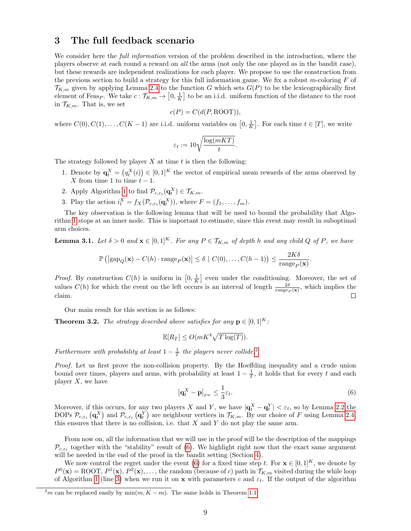## <span id="page-8-0"></span>3 The full feedback scenario

We consider here the *full information* version of the problem described in the introduction, where the players observe at each round a reward on all the arms (not only the one played as in the bandit case), but these rewards are independent realizations for each player. We propose to use the construction from the previous section to build a strategy for this full information game. We fix a robust m-coloring  $F$  of  $\mathcal{T}_{K,m}$  given by applying Lemma [2.4](#page-7-0) to the function G which sets  $G(P)$  to be the lexicographically first element of Feas<sub>P</sub>. We take  $c: \mathcal{T}_{K,m} \to [0, \frac{1}{K}]$  to be an i.i.d. uniform function of the distance to the root in  $\mathcal{T}_{K,m}$ . That is, we set

$$
c(P) = C(d(P, \text{ROOT})),
$$

where  $C(0), C(1), \ldots, C(K-1)$  are i.i.d. uniform variables on  $[0, \frac{1}{K}]$ . For each time  $t \in [T]$ , we write

$$
\varepsilon_t := 10 \sqrt{\frac{\log (mKT)}{t}}.
$$

The strategy followed by player  $X$  at time  $t$  is then the following:

- 1. Denote by  $\mathbf{q}_t^X = (q_t^X(i)) \in [0,1]^K$  the vector of empirical mean rewards of the arms observed by X from time 1 to time  $t-1$ .
- 2. Apply Algorithm [1](#page-5-1) to find  $\mathcal{P}_{c,\varepsilon_t}(\mathbf{q}_t^X) \in \mathcal{T}_{K,m}$ .
- 3. Play the action  $i_t^X = f_X(\mathcal{P}_{c,\varepsilon_t}(\mathbf{q}_t^X)),$  where  $F = (f_1, \ldots, f_m)$ .

The key observation is the following lemma that will be used to bound the probability that Algorithm [1](#page-5-1) stops at an inner node. This is important to estimate, since this event may result in suboptimal arm choices.

<span id="page-8-1"></span>**Lemma 3.1.** Let  $\delta > 0$  and  $\mathbf{x} \in [0,1]^K$ . For any  $P \in \mathcal{T}_{K,m}$  of depth h and any child Q of P, we have

$$
\mathbb{P}\left(\left|\text{gap}_Q(\mathbf{x}) - C(h) \cdot \text{range}_P(\mathbf{x})\right| \le \delta \mid C(0), \dots, C(h-1)\right) \le \frac{2K\delta}{\text{range}_P(\mathbf{x})}.
$$

*Proof.* By construction  $C(h)$  is uniform in  $\left[0, \frac{1}{K}\right]$  even under the conditioning. Moreover, the set of values  $C(h)$  for which the event on the left occurs is an interval of length  $\frac{2\delta}{\text{range}_P(\mathbf{x})}$ , which implies the claim.  $\Box$ 

Our main result for this section is as follows:

<span id="page-8-4"></span>**Theorem 3.2.** The strategy described above satisfies for any  $p \in [0, 1]^K$ :

$$
\mathbb{E}[R_T] \le O(mK^4 \sqrt{T \log(T)}).
$$

Furthermore with probability at least  $1 - \frac{1}{T}$  the players never collide.<sup>[2](#page-8-2)</sup>

<span id="page-8-3"></span>Proof. Let us first prove the non-collision property. By the Hoeffding inequality and a crude union bound over times, players and arms, with probability at least  $1 - \frac{1}{T}$ , it holds that for every t and each player  $X$ , we have

$$
\left|\mathbf{q}_t^X - \mathbf{p}\right|_{\ell^\infty} \le \frac{1}{3}\varepsilon_t. \tag{6}
$$

Moreover, if this occurs, for any two players X and Y, we have  $|\mathbf{q}_t^X - \mathbf{q}_t^Y| < \varepsilon_t$ , so by Lemma [2.2](#page-5-0) the DOPs  $\mathcal{P}_{c,\varepsilon_t}(\mathbf{q}_t^X)$  and  $\mathcal{P}_{c,\varepsilon_t}(\mathbf{q}_t^Y)$  are neighbour vertices in  $\mathcal{T}_{K,m}$ . By our choice of F using Lemma [2.4,](#page-7-0) this ensures that there is no collision, i.e. that  $X$  and  $Y$  do not play the same arm.

From now on, all the information that we will use in the proof will be the description of the mappings  $\mathcal{P}_{c,\varepsilon_t}$  together with the "stability" result of [\(6\)](#page-8-3). We highlight right now that the exact same argument will be needed in the end of the proof in the bandit setting (Section [4\)](#page-9-0).

We now control the regret under the event [\(6\)](#page-8-3) for a fixed time step t. For  $\mathbf{x} \in [0,1]^K$ , we denote by  $P^0(\mathbf{x}) = \text{ROOT}, P^1(\mathbf{x}), P^2(\mathbf{x}), \ldots$ , the random (because of c) path in  $\mathcal{T}_{K,m}$  visited during the while loop of Algorithm [1](#page-5-1) (line [3\)](#page-5-5) when we run it on x with parameters c and  $\varepsilon_t$ . If the output of the algorithm

<span id="page-8-2"></span> $^{2}m$  can be replaced easily by min $(m, K - m)$ . The same holds in Theorem [1.1.](#page-0-1)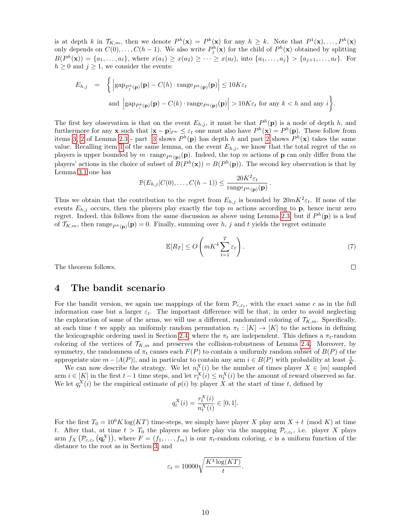is at depth k in  $\mathcal{T}_{K,m}$ , then we denote  $P^h(\mathbf{x}) = P^k(\mathbf{x})$  for any  $h \geq k$ . Note that  $P^1(\mathbf{x}), \ldots, P^h(\mathbf{x})$ only depends on  $C(0), \ldots, C(h-1)$ . We also write  $P_j^h(\mathbf{x})$  for the child of  $P^h(\mathbf{x})$  obtained by splitting  $B(P^h(\mathbf{x})) = \{a_1, \ldots, a_\ell\},\$  where  $x(a_1) \geq x(a_2) \geq \cdots \geq x(a_\ell),\$  into  $\{a_1, \ldots, a_j\} > \{a_{j+1}, \ldots, a_\ell\}.$  For  $h \geq 0$  and  $j \geq 1$ , we consider the events:

$$
E_{h,j} = \left\{ \left| \text{gap}_{P_j^h(\mathbf{p})}(\mathbf{p}) - C(h) \cdot \text{range}_{P^h(\mathbf{p})}(\mathbf{p}) \right| \le 10K\varepsilon_t \right\}
$$
  
and 
$$
\left| \text{gap}_{P_i^h(\mathbf{p})}(\mathbf{p}) - C(k) \cdot \text{range}_{P^h(\mathbf{p})}(\mathbf{p}) \right| > 10K\varepsilon_t \text{ for any } k < h \text{ and any } i \right\}.
$$

The first key observation is that on the event  $E_{h,j}$ , it must be that  $P^h(\mathbf{p})$  is a node of depth h, and furthermore for any **x** such that  $|\mathbf{x} - \mathbf{p}|_{\ell^{\infty}} \leq \varepsilon_t$  one must also have  $P^h(\mathbf{x}) = P^h(\mathbf{p})$ . These follow from items [3,](#page-7-3) [2](#page-7-4) of Lemma [2.3](#page-7-1) - part [3](#page-7-3) shows  $P^h(\mathbf{p})$  has depth h and part 2 shows  $P^h(\mathbf{x})$  takes the same value. Recalling item [1](#page-7-5) of the same lemma, on the event  $E_{h,j}$ , we know that the total regret of the m players is upper bounded by  $m \cdot \text{range}_{P^h(\mathbf{p})}(\mathbf{p})$ . Indeed, the top m actions of **p** can only differ from the players' actions in the choice of subset of  $B(P^h(\mathbf{x})) = B(P^h(\mathbf{p}))$ . The second key observation is that by Lemma [3.1](#page-8-1) one has

$$
\mathbb{P}(E_{h,j}|C(0),\ldots,C(h-1)) \leq \frac{20K^2\varepsilon_t}{\operatorname{range}_{P^h(\mathbf{p})}(\mathbf{p})}.
$$

Thus we obtain that the contribution to the regret from  $E_{h,j}$  is bounded by  $20mK^2\varepsilon_t$ . If none of the events  $E_{h,j}$  occurs, then the players play exactly the top m actions according to p, hence incur zero regret. Indeed, this follows from the same discussion as above using Lemma [2.3,](#page-7-1) but if  $P<sup>h</sup>(p)$  is a leaf of  $\mathcal{T}_{K,m}$ , then range $_{P^h(\mathbf{p})}(\mathbf{p})=0$ . Finally, summing over h, j and t yields the regret estimate

$$
\mathbb{E}[R_T] \le O\left(mK^4 \sum_{t=1}^T \varepsilon_t\right). \tag{7}
$$

The theorem follows.

## <span id="page-9-0"></span>4 The bandit scenario

For the bandit version, we again use mappings of the form  $\mathcal{P}_{c,\varepsilon_t}$ , with the exact same c as in the full information case but a larger  $\varepsilon_t$ . The important difference will be that, in order to avoid neglecting the exploration of some of the arms, we will use a different, randomized coloring of  $\mathcal{T}_{K,m}$ . Specifically, at each time t we apply an uniformly random permutation  $\pi_t : [K] \to [K]$  to the actions in defining the lexicographic ordering used in Section [2.4,](#page-7-6) where the  $\pi_t$  are independent. This defines a  $\pi_t$ -random coloring of the vertices of  $\mathcal{T}_{K,m}$  and preserves the collision-robustness of Lemma [2.4.](#page-7-0) Moreover, by symmetry, the randomness of  $\pi_t$  causes each  $F(P)$  to contain a uniformly random subset of  $B(P)$  of the appropriate size  $m - |A(P)|$ , and in particular to contain any arm  $i \in B(P)$  with probability at least  $\frac{1}{K}$ .

We can now describe the strategy. We let  $n_t^X(i)$  be the number of times player  $X \in [m]$  sampled arm  $i \in [K]$  in the first  $t-1$  time steps, and let  $r_t^X(i) \leq n_t^X(i)$  be the amount of reward observed so far. We let  $q_t^X(i)$  be the empirical estimate of  $p(i)$  by player X at the start of time t, defined by

$$
q_t^X(i) = \frac{r_t^X(i)}{n_t^X(i)} \in [0, 1].
$$

For the first  $T_0 = 10^9 K \log(KT)$  time-steps, we simply have player X play arm  $X + t \pmod{K}$  at time t. After that, at time  $t > T_0$  the players as before play via the mapping  $\mathcal{P}_{c,\varepsilon_t}$ , i.e. player X plays arm  $f_X(\mathcal{P}_{c,\varepsilon_t}(\mathbf{q}^X_t))$ , where  $F=(f_1,\ldots,f_m)$  is our  $\pi_t$ -random coloring, c is a uniform function of the distance to the root as in Section [3,](#page-8-0) and

$$
\varepsilon_t = 10000 \sqrt{\frac{K^3 \log(KT)}{t}}.
$$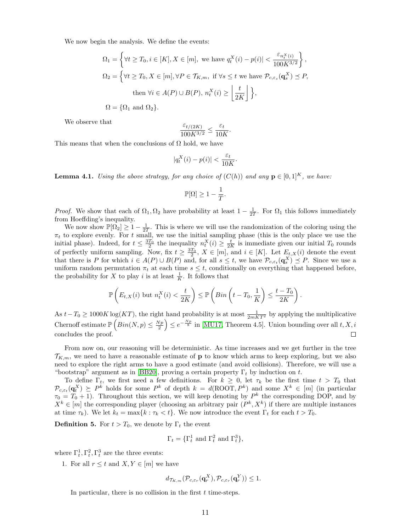We now begin the analysis. We define the events:

$$
\Omega_1 = \left\{ \forall t \ge T_0, i \in [K], X \in [m], \text{ we have } q_t^X(i) - p(i)| < \frac{\varepsilon_{n_t^X(i)}}{100K^{3/2}} \right\},
$$
\n
$$
\Omega_2 = \left\{ \forall t \ge T_0, X \in [m], \forall P \in \mathcal{T}_{K,m}, \text{ if } \forall s \le t \text{ we have } \mathcal{P}_{c,\varepsilon_s}(\mathbf{q}_s^X) \le P,
$$
\n
$$
\text{then } \forall i \in A(P) \cup B(P), n_t^X(i) \ge \left\lfloor \frac{t}{2K} \right\rfloor \right\},
$$
\n
$$
\Omega = \{\Omega_1 \text{ and } \Omega_2\}.
$$

We observe that

$$
\frac{\varepsilon_{t/(2K)}}{100K^{3/2}} \le \frac{\varepsilon_t}{10K}.
$$

This means that when the conclusions of  $\Omega$  hold, we have

$$
|q_t^X(i) - p(i)| < \frac{\varepsilon_t}{10K}.
$$

**Lemma 4.1.** Using the above strategy, for any choice of  $(C(h))$  and any  $p \in [0,1]^K$ , we have:

$$
\mathbb{P}[\Omega] \ge 1 - \frac{1}{T}.
$$

*Proof.* We show that each of  $\Omega_1, \Omega_2$  have probability at least  $1 - \frac{1}{2T}$ . For  $\Omega_1$  this follows immediately from Hoeffding's inequality.

We now show  $\mathbb{P}[\Omega_2] \geq 1 - \frac{1}{2T}$ . This is where we will use the randomization of the coloring using the  $\pi_t$  to explore evenly. For t small, we use the initial sampling phase (this is the only place we use the initial phase). Indeed, for  $t \leq \frac{3T_0}{2}$  the inequality  $n_t^X(i) \geq \frac{t}{2K}$  is immediate given our initial  $T_0$  rounds of perfectly uniform sampling. Now, fix  $t \geq \frac{3T_0}{2}$ ,  $X \in [m]$ , and  $i \in [K]$ . Let  $E_{t,X}(i)$  denote the event that there is P for which  $i \in A(P) \cup B(P)$  and, for all  $s \leq t$ , we have  $\mathcal{P}_{c,\varepsilon_t}(\mathbf{q}_s^X) \preceq P$ . Since we use a uniform random permutation  $\pi_t$  at each time  $s \leq t$ , conditionally on everything that happened before, the probability for X to play i is at least  $\frac{1}{K}$ . It follows that

$$
\mathbb{P}\left(E_{t,X}(i) \text{ but } n_t^X(i) < \frac{t}{2K}\right) \le \mathbb{P}\left(Bin\left(t-T_0,\frac{1}{K}\right) \le \frac{t-T_0}{2K}\right).
$$

As  $t - T_0 \geq 1000K \log(KT)$ , the right hand probability is at most  $\frac{1}{2mKT^2}$  by applying the multiplicative Chernoff estimate  $\mathbb{P}\left(Bin(N,p)\leq \frac{Np}{2}\right)\leq e^{-\frac{Np}{8}}$  in [\[MU17,](#page-14-4) Theorem 4.5]. Union bounding over all  $t, X, i$ concludes the proof.  $\Box$ 

From now on, our reasoning will be deterministic. As time increases and we get further in the tree  $\mathcal{T}_{K,m}$ , we need to have a reasonable estimate of **p** to know which arms to keep exploring, but we also need to explore the right arms to have a good estimate (and avoid collisions). Therefore, we will use a "bootstrap" argument as in [\[BB20\]](#page-13-0), proving a certain property  $\Gamma_t$  by induction on t.

To define  $\Gamma_t$ , we first need a few definitions. For  $k \geq 0$ , let  $\tau_k$  be the first time  $t > T_0$  that  $\mathcal{P}_{c,\varepsilon_t}(\mathbf{q}_t^X) \succeq P^k$  holds for some  $P^k$  of depth  $k = d(\text{ROOT}, P^k)$  and some  $X^k \in [m]$  (in particular  $\tau_0 = T_0 + 1$ . Throughout this section, we will keep denoting by  $P^k$  the corresponding DOP, and by  $X^k \in [m]$  the corresponding player (choosing an arbitrary pair  $(P^k, X^k)$ ) if there are multiple instances at time  $\tau_k$ ). We let  $k_t = \max\{k : \tau_k < t\}$ . We now introduce the event  $\Gamma_t$  for each  $t > T_0$ .

**Definition 5.** For  $t > T_0$ , we denote by  $\Gamma_t$  the event

$$
\Gamma_t = {\Gamma_t^1 \text{ and } \Gamma_t^2 \text{ and } \Gamma_t^3},
$$

<span id="page-10-0"></span>where  $\Gamma_t^1, \Gamma_t^2, \Gamma_t^3$  are the three events:

1. For all  $r \leq t$  and  $X, Y \in [m]$  we have

$$
d_{\mathcal{T}_{K,m}}(\mathcal{P}_{c,\varepsilon_r}(\mathbf{q}_r^X),\mathcal{P}_{c,\varepsilon_r}(\mathbf{q}_r^Y)) \le 1.
$$

In particular, there is no collision in the first  $t$  time-steps.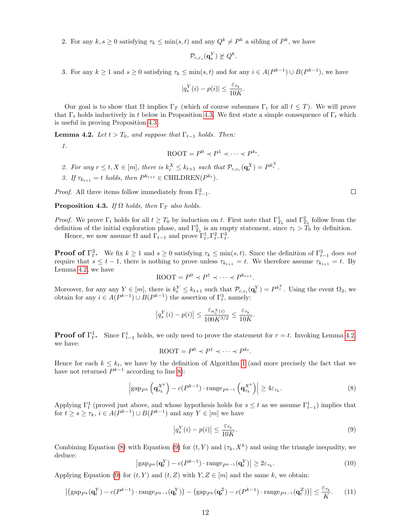2. For any  $k, s \geq 0$  satisfying  $\tau_k \leq \min(s, t)$  and any  $Q^k \neq P^k$  a sibling of  $P^k$ , we have

$$
\mathcal{P}_{c,\varepsilon_s}(\mathbf{q}_s^Y) \not\succeq Q^k.
$$

3. For any  $k \ge 1$  and  $s \ge 0$  satisfying  $\tau_k \le \min(s, t)$  and for any  $i \in A(P^{k-1}) \cup B(P^{k-1})$ , we have

$$
|q_s^Y(i) - p(i)| \le \frac{\varepsilon_{\tau_k}}{10K}.
$$

Our goal is to show that  $\Omega$  implies  $\Gamma_T$  (which of course subsumes  $\Gamma_t$  for all  $t \leq T$ ). We will prove that  $\Gamma_t$  holds inductively in t below in Proposition [4.3.](#page-11-0) We first state a simple consequence of  $\Gamma_t$  which is useful in proving Proposition [4.3.](#page-11-0)

<span id="page-11-1"></span>**Lemma 4.2.** Let  $t > T_0$ , and suppose that  $\Gamma_{t-1}$  holds. Then:

1.

$$
\text{ROOT} = P^0 \prec P^1 \prec \cdots \prec P^{k_t}.
$$

- 2. For any  $r \leq t, X \in [m]$ , there is  $k_r^X \leq k_{t+1}$  such that  $\mathcal{P}_{c,\varepsilon_r}(\mathbf{q}_r^X) = P^{k_r^X}$ .
- 3. If  $\tau_{k_{t+1}} = t$  holds, then  $P^{k_{t+1}} \in \text{CHILDREN}(P^{k_t}).$

*Proof.* All three items follow immediately from  $\Gamma_{t-1}^2$ .

<span id="page-11-0"></span>**Proposition 4.3.** If  $\Omega$  holds, then  $\Gamma_T$  also holds.

*Proof.* We prove  $\Gamma_t$  holds for all  $t \geq T_0$  by induction on t. First note that  $\Gamma_{T_0}^1$  and  $\Gamma_{T_0}^2$  follow from the definition of the initial exploration phase, and  $\Gamma_{T_0}^3$  is an empty statement, since  $\tau_1 > T_0$  by definition.

Hence, we now assume  $\Omega$  and  $\Gamma_{t-1}$  and prove  $\Gamma_t^1, \Gamma_t^2, \Gamma_t^3$ .

**Proof of**  $\Gamma_t^3$ . We fix  $k \ge 1$  and  $s \ge 0$  satisfying  $\tau_k \le \min(s, t)$ . Since the definition of  $\Gamma_{t-1}^3$  does not require that  $s \leq t-1$ , there is nothing to prove unless  $\tau_{k_{t+1}} = t$ . We therefore assume  $\tau_{k_{t+1}} = t$ . By Lemma [4.2,](#page-11-1) we have

$$
\text{ROOT} = P^0 \prec P^1 \prec \cdots \prec P^{k_{t+1}}.
$$

Moreover, for any any  $Y \in [m]$ , there is  $k_t^Y \leq k_{t+1}$  such that  $\mathcal{P}_{c,\varepsilon_t}(\mathbf{q}_t^Y) = P^{k_t^Y}$ . Using the event  $\Omega_2$ , we obtain for any  $i \in A(P^{k-1}) \cup B(P^{k-1})$  the assertion of  $\Gamma_t^3$ , namely:

$$
\left|q_s^Y(i) - p(i)\right| \le \frac{\varepsilon_{n_s^X(i)}}{100K^{3/2}} \le \frac{\varepsilon_{\tau_k}}{10K}.
$$

**Proof of**  $\Gamma_t^1$ . Since  $\Gamma_{t-1}^1$  holds, we only need to prove the statement for  $r = t$ . Invoking Lemma [4.2,](#page-11-1) we have:

<span id="page-11-2"></span>
$$
\text{ROOT} = P^0 \prec P^1 \prec \cdots \prec P^{k_t}.
$$

Hence for each  $k \leq k_t$ , we have by the definition of Algorithm [1](#page-5-1) (and more precisely the fact that we have not returned  $P^{k-1}$  according to line [8\)](#page-5-4):

$$
\left| \text{gap}_{P^k} \left( \mathbf{q}_{\tau_k}^{X^k} \right) - c(P^{k-1}) \cdot \text{range}_{P^{k-1}} \left( \mathbf{q}_{\tau_k}^{X^k} \right) \right| \geq 4\varepsilon_{\tau_k}.\tag{8}
$$

Applying  $\Gamma_t^3$  (proved just above, and whose hypothesis holds for  $s \leq t$  as we assume  $\Gamma_{t-1}^1$ ) implies that for  $t \geq s \geq \tau_k$ ,  $i \in A(P^{k-1}) \cup B(P^{k-1})$  and any  $Y \in [m]$  we have

<span id="page-11-5"></span><span id="page-11-3"></span>
$$
\left| q_s^Y(i) - p(i) \right| \le \frac{\varepsilon_{\tau_k}}{10K}.\tag{9}
$$

<span id="page-11-4"></span>Combining Equation [\(8\)](#page-11-2) with Equation [\(9\)](#page-11-3) for  $(t, Y)$  and  $(\tau_k, X^k)$  and using the triangle inequality, we deduce:

$$
\left| \text{gap}_{P^k}(\mathbf{q}_t^Y) - c(P^{k-1}) \cdot \text{range}_{P^{k-1}}(\mathbf{q}_t^Y) \right| \ge 2\varepsilon_{\tau_k}.\tag{10}
$$

Applying Equation [\(9\)](#page-11-3) for  $(t, Y)$  and  $(t, Z)$  with  $Y, Z \in [m]$  and the same k, we obtain:

$$
\left| \left( \text{gap}_{P^k}(\mathbf{q}_t^Y) - c(P^{k-1}) \cdot \text{range}_{P^{k-1}}(\mathbf{q}_t^Y) \right) - \left( \text{gap}_{P^k}(\mathbf{q}_t^Z) - c(P^{k-1}) \cdot \text{range}_{P^{k-1}}(\mathbf{q}_t^Z) \right) \right| \le \frac{\varepsilon_{\tau_k}}{K}.
$$
 (11)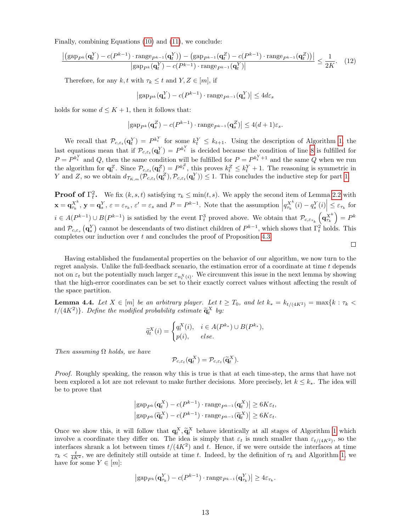Finally, combining Equations [\(10\)](#page-11-4) and [\(11\)](#page-11-5), we conclude:

$$
\frac{\left| \left( \text{gap}_{P^k}(\mathbf{q}_t^Y) - c(P^{k-1}) \cdot \text{range}_{P^{k-1}}(\mathbf{q}_t^Y) \right) - \left( \text{gap}_{P^{k-1}}(\mathbf{q}_t^Z) - c(P^{k-1}) \cdot \text{range}_{P^{k-1}}(\mathbf{q}_t^Z) \right) \right|}{\left| \text{gap}_{P^k}(\mathbf{q}_t^Y) - c(P^{k-1}) \cdot \text{range}_{P^{k-1}}(\mathbf{q}_t^Y) \right|} \le \frac{1}{2K}.\tag{12}
$$

Therefore, for any k, t with  $\tau_k \leq t$  and  $Y, Z \in [m]$ , if

$$
|\text{gap}_{P^k}(\mathbf{q}_s^Y) - c(P^{k-1}) \cdot \text{range}_{P^{k-1}}(\mathbf{q}_s^Y)| \leq 4d\varepsilon_s
$$

holds for some  $d \leq K + 1$ , then it follows that:

$$
|\text{gap}_{P^k}(\mathbf{q}_s^Z) - c(P^{k-1}) \cdot \text{range}_{P^{k-1}}(\mathbf{q}_s^Z)| \leq 4(d+1)\varepsilon_s.
$$

We recall that  $\mathcal{P}_{c,\varepsilon_t}(\mathbf{q}_t^Y) = P^{k_t^Y}$  for some  $k_t^Y \leq k_{t+1}$ . Using the description of Algorithm [1,](#page-5-1) the last equations mean that if  $\mathcal{P}_{c,\varepsilon_t}(\mathbf{q}_t^Y) = P^{k_t^Y}$  is decided because the condition of line [8](#page-5-4) is fulfilled for  $P = P^{k_t^Y}$  and Q, then the same condition will be fulfilled for  $P = P^{k_t^Y + 1}$  and the same Q when we run the algorithm for  $\mathbf{q}_t^Z$ . Since  $\mathcal{P}_{c,\varepsilon_t}(\mathbf{q}_t^Z) = P^{k_t^Z}$ , this proves  $k_t^Z \leq k_t^Y + 1$ . The reasoning is symmetric in Y and Z, so we obtain  $d_{\mathcal{T}_{K,m}}(\mathcal{P}_{c,\varepsilon_t}(\mathbf{q}_t^Z),\mathcal{P}_{c,\varepsilon_t}(\mathbf{q}_t^Y)) \leq 1$ . This concludes the inductive step for part [1.](#page-10-0)

**Proof of**  $\Gamma_t^2$ . We fix  $(k, s, t)$  satisfying  $\tau_k \le \min(t, s)$ . We apply the second item of Lemma [2.2](#page-5-0) with  $\mathbf{x} = \mathbf{q}_{\tau_k}^{X^k}, \ \mathbf{y} = \mathbf{q}_s^Y, \ \varepsilon = \varepsilon_{\tau_k}, \ \varepsilon' = \varepsilon_s \text{ and } P = P^{k-1}.$  Note that the assumption  $\left| q_{\tau_k}^{X^k}(i) - q_s^Y(i) \right| \leq \varepsilon_{\tau_k}$  for  $i \in A(P^{k-1}) \cup B(P^{k-1})$  is satisfied by the event  $\Gamma_t^3$  proved above. We obtain that  $\mathcal{P}_{c,\varepsilon_{\tau_k}}\left(\mathbf{q}_{\tau_k}^{X^k}\right) = P^k$ and  $\mathcal{P}_{c,\varepsilon_s}(\mathbf{q}_s^Y)$  cannot be descendants of two distinct children of  $P^{k-1}$ , which shows that  $\Gamma_t^2$  holds. This completes our induction over t and concludes the proof of Proposition [4.3.](#page-11-0)  $\Box$ 

Having established the fundamental properties on the behavior of our algorithm, we now turn to the regret analysis. Unlike the full-feedback scenario, the estimation error of a coordinate at time  $t$  depends not on  $\varepsilon_t$  but the potentially much larger  $\varepsilon_{n_t^X(i)}$ . We circumvent this issue in the next lemma by showing that the high-error coordinates can be set to their exactly correct values without affecting the result of the space partition.

<span id="page-12-0"></span>**Lemma 4.4.** Let  $X \in [m]$  be an arbitrary player. Let  $t \geq T_0$ , and let  $k_* = k_{t/(4K^2)} = \max\{k : \tau_k <$  $t/(4K^2)$ . Define the modified probability estimate  $\widetilde{\mathbf{q}}_t^X$  by:

$$
\widetilde{q}_t^X(i) = \begin{cases} q_t^X(i), & i \in A(P^{k_*}) \cup B(P^{k_*}), \\ p(i), & else. \end{cases}
$$

Then assuming  $\Omega$  holds, we have

$$
\mathcal{P}_{c,\varepsilon_t}(\mathbf{q}_t^X) = \mathcal{P}_{c,\varepsilon_t}(\widetilde{\mathbf{q}}_t^X).
$$

Proof. Roughly speaking, the reason why this is true is that at each time-step, the arms that have not been explored a lot are not relevant to make further decisions. More precisely, let  $k \leq k_*$ . The idea will be to prove that

$$
\left| \text{gap}_{P^k}(\mathbf{q}_t^X) - c(P^{k-1}) \cdot \text{range}_{P^{k-1}}(\mathbf{q}_t^X) \right| \ge 6K\varepsilon_t,
$$
  

$$
\left| \text{gap}_{P^k}(\widetilde{\mathbf{q}}_t^X) - c(P^{k-1}) \cdot \text{range}_{P^{k-1}}(\widetilde{\mathbf{q}}_t^X) \right| \ge 6K\varepsilon_t.
$$

Once we show this, it will follow that  $\mathbf{q}_t^X$ ,  $\tilde{\mathbf{q}}_t^X$  behave identically at all stages of Algorithm [1](#page-5-1) which<br>involve a coordinate they differ on The idea is simply that  $\epsilon$  is much smaller than  $\epsilon$  is a so involve a coordinate they differ on. The idea is simply that  $\varepsilon_t$  is much smaller than  $\varepsilon_{t/(4K^2)}$ , so the interfaces shrank a lot between times  $t/(4K^2)$  and t. Hence, if we were outside the interfaces at time  $\tau_k < \frac{t}{4K^2}$ , we are definitely still outside at time t. Indeed, by the definition of  $\tau_k$  and Algorithm [1,](#page-5-1) we have for some  $Y \in [m]$ :

$$
|\text{gap}_{P^k}(\mathbf{q}_{\tau_k}^Y) - c(P^{k-1}) \cdot \text{range}_{P^{k-1}}(\mathbf{q}_{\tau_k}^Y)| \geq 4\varepsilon_{\tau_k}.
$$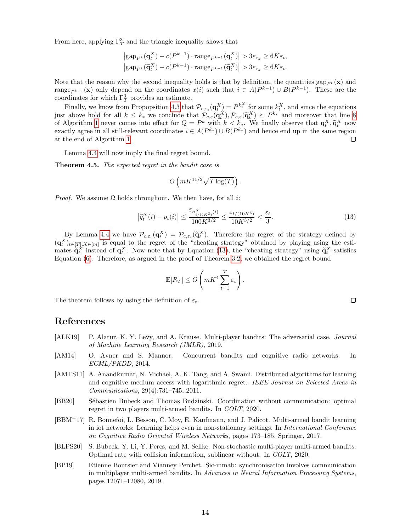From here, applying  $\Gamma_T^3$  and the triangle inequality shows that

$$
\left| \text{gap}_{P^k}(\mathbf{q}_t^X) - c(P^{k-1}) \cdot \text{range}_{P^{k-1}}(\mathbf{q}_t^X) \right| > 3\varepsilon_{\tau_k} \ge 6K\varepsilon_t,
$$
  

$$
\left| \text{gap}_{P^k}(\widetilde{\mathbf{q}}_t^X) - c(P^{k-1}) \cdot \text{range}_{P^{k-1}}(\widetilde{\mathbf{q}}_t^X) \right| > 3\varepsilon_{\tau_k} \ge 6K\varepsilon_t.
$$

Note that the reason why the second inequality holds is that by definition, the quantities gap<sub>Pk</sub>( $\mathbf{x}$ ) and range<sub>P<sup>k−1</sub></sup>(**x**) only depend on the coordinates  $x(i)$  such that  $i \in A(P^{k-1}) \cup B(P^{k-1})$ . These are the</sub> coordinates for which  $\Gamma_T^3$  provides an estimate.

Finally, we know from Propopsition [4.3](#page-11-0) that  $\mathcal{P}_{c,\varepsilon_t}(\mathbf{q}^X_t) = P^{k_t^X}$  for some  $k_t^X$ , and since the equations just above hold for all  $k \leq k_*$  we conclude that  $\mathcal{P}_{c,\varepsilon}(\mathbf{q}_k^X),\mathcal{P}_{c,\varepsilon}(\widetilde{\mathbf{q}}_k^X) \succeq P^{k_*}$  and moreover that line [8](#page-5-4)<br>of Algorithm 1 nover comes into effect for  $O = P^k$  with  $k < k$ . We finally observe th of Algorithm [1](#page-5-1) never comes into effect for  $Q = P^k$  with  $k < k_*$ . We finally observe that  $\mathbf{q}_t^X, \tilde{\mathbf{q}}_t^X$  now<br>exactly agree in all still relevant exercinates  $i \in A(P^{k_*}) \cup B(P^{k_*})$  and hange and up in the same region exactly agree in all still-relevant coordinates  $i \in A(P^{k_*}) \cup B(P^{k_*})$  and hence end up in the same region at the end of Algorithm [1.](#page-5-1)  $\Box$ 

Lemma [4.4](#page-12-0) will now imply the final regret bound.

**Theorem 4.5.** The expected regret in the bandit case is

<span id="page-13-7"></span>
$$
O\left(mK^{11/2}\sqrt{T\log(T)}\right).
$$

*Proof.* We assume  $\Omega$  holds throughout. We then have, for all *i*:

$$
\left|\tilde{q}_t^X(i) - p_t(i)\right| \le \frac{\varepsilon_{n_{t/(4K^2)}^X}(i)}{100K^{3/2}} \le \frac{\varepsilon_{t/(10K^3)}}{10K^{3/2}} < \frac{\varepsilon_t}{3}.\tag{13}
$$

By Lemma [4.4](#page-12-0) we have  $\mathcal{P}_{c,\varepsilon_t}(\mathbf{q}_t^X) = \mathcal{P}_{c,\varepsilon_t}(\tilde{\mathbf{q}}_t^X)$ . Therefore the regret of the strategy defined by  $(\mathbf{q}_t^X)_{t\in[T],X\in[m]}$  is equal to the regret of the "cheating strategy" obtained by playing using the estimates  $\tilde{\mathbf{q}}_t^X$  instead of  $\mathbf{q}_t^X$ . Now note that by Equation [\(13\)](#page-13-7), the "cheating strategy" using  $\tilde{\mathbf{q}}_t^X$  satisfies Equation [\(6\)](#page-8-3). Therefore, as argued in the proof of Theorem [3.2,](#page-8-4) we obtained the regret bound

$$
\mathbb{E}[R_T] \le O\left(mK^4 \sum_{t=1}^T \varepsilon_t\right).
$$

The theorem follows by using the definition of  $\varepsilon_t$ .

## References

- <span id="page-13-5"></span>[ALK19] P. Alatur, K. Y. Levy, and A. Krause. Multi-player bandits: The adversarial case. *Journal* of Machine Learning Research (JMLR), 2019.
- <span id="page-13-2"></span>[AM14] O. Avner and S. Mannor. Concurrent bandits and cognitive radio networks. In ECML/PKDD, 2014.
- <span id="page-13-1"></span>[AMTS11] A. Anandkumar, N. Michael, A. K. Tang, and A. Swami. Distributed algorithms for learning and cognitive medium access with logarithmic regret. IEEE Journal on Selected Areas in Communications, 29(4):731–745, 2011.
- <span id="page-13-0"></span>[BB20] Sébastien Bubeck and Thomas Budzinski. Coordination without communication: optimal regret in two players multi-armed bandits. In COLT, 2020.
- <span id="page-13-3"></span>[BBM<sup>+</sup>17] R. Bonnefoi, L. Besson, C. Moy, E. Kaufmann, and J. Palicot. Multi-armed bandit learning in iot networks: Learning helps even in non-stationary settings. In International Conference on Cognitive Radio Oriented Wireless Networks, pages 173–185. Springer, 2017.
- <span id="page-13-6"></span>[BLPS20] S. Bubeck, Y. Li, Y. Peres, and M. Sellke. Non-stochastic multi-player multi-armed bandits: Optimal rate with collision information, sublinear without. In COLT, 2020.
- <span id="page-13-4"></span>[BP19] Etienne Boursier and Vianney Perchet. Sic-mmab: synchronisation involves communication in multiplayer multi-armed bandits. In Advances in Neural Information Processing Systems, pages 12071–12080, 2019.

 $\Box$